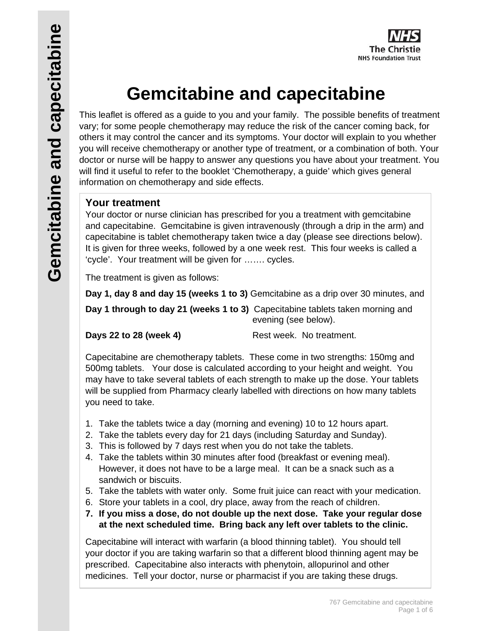

# **Gemcitabine and capecitabine**

This leaflet is offered as a guide to you and your family. The possible benefits of treatment vary; for some people chemotherapy may reduce the risk of the cancer coming back, for others it may control the cancer and its symptoms. Your doctor will explain to you whether you will receive chemotherapy or another type of treatment, or a combination of both. Your doctor or nurse will be happy to answer any questions you have about your treatment. You will find it useful to refer to the booklet 'Chemotherapy, a guide' which gives general information on chemotherapy and side effects.

## **Your treatment**

Your doctor or nurse clinician has prescribed for you a treatment with gemcitabine and capecitabine. Gemcitabine is given intravenously (through a drip in the arm) and capecitabine is tablet chemotherapy taken twice a day (please see directions below). It is given for three weeks, followed by a one week rest. This four weeks is called a 'cycle'. Your treatment will be given for ……. cycles.

The treatment is given as follows:

**Day 1, day 8 and day 15 (weeks 1 to 3)** Gemcitabine as a drip over 30 minutes, and

**Day 1 through to day 21 (weeks 1 to 3)** Capecitabine tablets taken morning and evening (see below).

**Days 22 to 28 (week 4)** Rest week. No treatment.

Capecitabine are chemotherapy tablets. These come in two strengths: 150mg and 500mg tablets. Your dose is calculated according to your height and weight. You may have to take several tablets of each strength to make up the dose. Your tablets will be supplied from Pharmacy clearly labelled with directions on how many tablets you need to take.

- 1. Take the tablets twice a day (morning and evening) 10 to 12 hours apart.
- 2. Take the tablets every day for 21 days (including Saturday and Sunday).
- 3. This is followed by 7 days rest when you do not take the tablets.
- 4. Take the tablets within 30 minutes after food (breakfast or evening meal). However, it does not have to be a large meal. It can be a snack such as a sandwich or biscuits.
- 5. Take the tablets with water only. Some fruit juice can react with your medication.
- 6. Store your tablets in a cool, dry place, away from the reach of children.
- **7. If you miss a dose, do not double up the next dose. Take your regular dose at the next scheduled time. Bring back any left over tablets to the clinic.**

Capecitabine will interact with warfarin (a blood thinning tablet). You should tell your doctor if you are taking warfarin so that a different blood thinning agent may be prescribed. Capecitabine also interacts with phenytoin, allopurinol and other medicines. Tell your doctor, nurse or pharmacist if you are taking these drugs.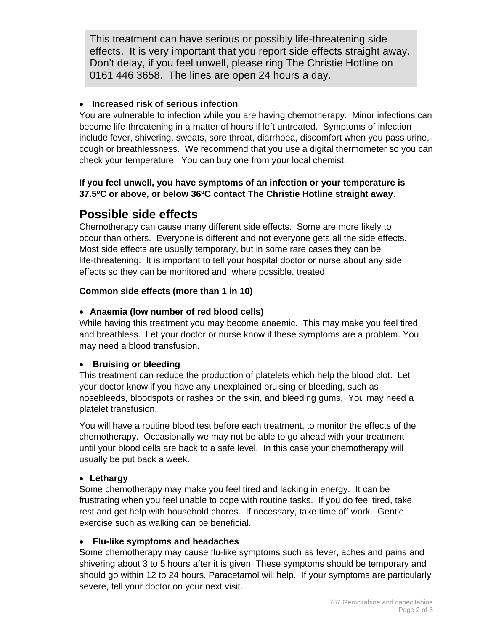This treatment can have serious or possibly life-threatening side effects. It is very important that you report side effects straight away. Don't delay, if you feel unwell, please ring The Christie Hotline on 0161 446 3658. The lines are open 24 hours a day.

### **Increased risk of serious infection**

You are vulnerable to infection while you are having chemotherapy. Minor infections can become life-threatening in a matter of hours if left untreated. Symptoms of infection include fever, shivering, sweats, sore throat, diarrhoea, discomfort when you pass urine, cough or breathlessness. We recommend that you use a digital thermometer so you can check your temperature. You can buy one from your local chemist.

## **If you feel unwell, you have symptoms of an infection or your temperature is 37.5ºC or above, or below 36ºC contact The Christie Hotline straight away**.

# **Possible side effects**

Chemotherapy can cause many different side effects. Some are more likely to occur than others. Everyone is different and not everyone gets all the side effects. Most side effects are usually temporary, but in some rare cases they can be life-threatening. It is important to tell your hospital doctor or nurse about any side effects so they can be monitored and, where possible, treated.

## **Common side effects (more than 1 in 10)**

## **Anaemia (low number of red blood cells)**

While having this treatment you may become anaemic. This may make you feel tired and breathless. Let your doctor or nurse know if these symptoms are a problem. You may need a blood transfusion.

### **Bruising or bleeding**

This treatment can reduce the production of platelets which help the blood clot. Let your doctor know if you have any unexplained bruising or bleeding, such as nosebleeds, bloodspots or rashes on the skin, and bleeding gums. You may need a platelet transfusion.

You will have a routine blood test before each treatment, to monitor the effects of the chemotherapy. Occasionally we may not be able to go ahead with your treatment until your blood cells are back to a safe level. In this case your chemotherapy will usually be put back a week.

### **Lethargy**

Some chemotherapy may make you feel tired and lacking in energy. It can be frustrating when you feel unable to cope with routine tasks. If you do feel tired, take rest and get help with household chores. If necessary, take time off work. Gentle exercise such as walking can be beneficial.

### **Flu-like symptoms and headaches**

Some chemotherapy may cause flu-like symptoms such as fever, aches and pains and shivering about 3 to 5 hours after it is given. These symptoms should be temporary and should go within 12 to 24 hours. Paracetamol will help. If your symptoms are particularly severe, tell your doctor on your next visit.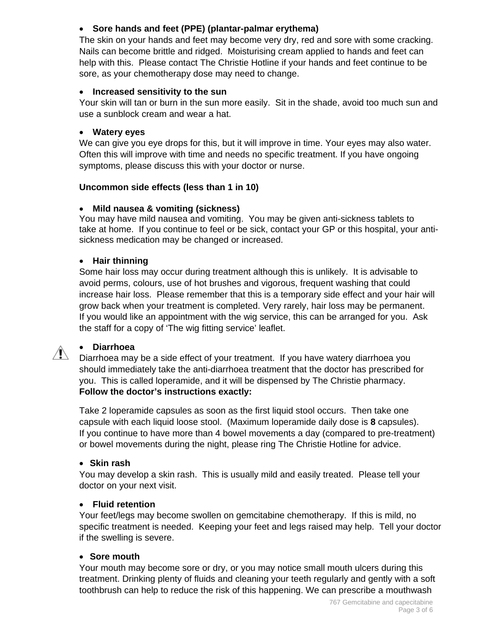## **Sore hands and feet (PPE) (plantar-palmar erythema)**

The skin on your hands and feet may become very dry, red and sore with some cracking. Nails can become brittle and ridged. Moisturising cream applied to hands and feet can help with this. Please contact The Christie Hotline if your hands and feet continue to be sore, as your chemotherapy dose may need to change.

## **Increased sensitivity to the sun**

Your skin will tan or burn in the sun more easily. Sit in the shade, avoid too much sun and use a sunblock cream and wear a hat.

## **Watery eyes**

We can give you eye drops for this, but it will improve in time. Your eyes may also water. Often this will improve with time and needs no specific treatment. If you have ongoing symptoms, please discuss this with your doctor or nurse.

## **Uncommon side effects (less than 1 in 10)**

## **Mild nausea & vomiting (sickness)**

You may have mild nausea and vomiting. You may be given anti-sickness tablets to take at home. If you continue to feel or be sick, contact your GP or this hospital, your antisickness medication may be changed or increased.

## **Hair thinning**

Some hair loss may occur during treatment although this is unlikely. It is advisable to avoid perms, colours, use of hot brushes and vigorous, frequent washing that could increase hair loss. Please remember that this is a temporary side effect and your hair will grow back when your treatment is completed. Very rarely, hair loss may be permanent. If you would like an appointment with the wig service, this can be arranged for you. Ask the staff for a copy of 'The wig fitting service' leaflet.

## **Diarrhoea**

Diarrhoea may be a side effect of your treatment. If you have watery diarrhoea you should immediately take the anti-diarrhoea treatment that the doctor has prescribed for you. This is called loperamide, and it will be dispensed by The Christie pharmacy. **Follow the doctor's instructions exactly:** 

Take 2 loperamide capsules as soon as the first liquid stool occurs. Then take one capsule with each liquid loose stool. (Maximum loperamide daily dose is **8** capsules). If you continue to have more than 4 bowel movements a day (compared to pre-treatment) or bowel movements during the night, please ring The Christie Hotline for advice.

### **Skin rash**

You may develop a skin rash. This is usually mild and easily treated. Please tell your doctor on your next visit.

### **Fluid retention**

Your feet/legs may become swollen on gemcitabine chemotherapy. If this is mild, no specific treatment is needed. Keeping your feet and legs raised may help. Tell your doctor if the swelling is severe.

### **Sore mouth**

Your mouth may become sore or dry, or you may notice small mouth ulcers during this treatment. Drinking plenty of fluids and cleaning your teeth regularly and gently with a soft toothbrush can help to reduce the risk of this happening. We can prescribe a mouthwash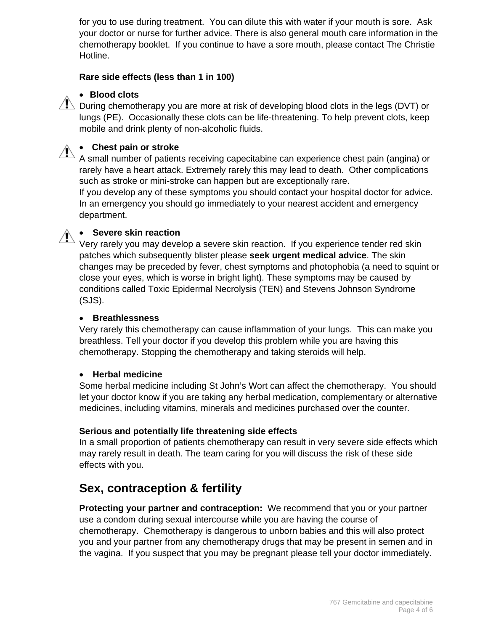for you to use during treatment. You can dilute this with water if your mouth is sore. Ask your doctor or nurse for further advice. There is also general mouth care information in the chemotherapy booklet. If you continue to have a sore mouth, please contact The Christie Hotline.

### **Rare side effects (less than 1 in 100)**

## **Blood clots**

 $\sqrt{1}$  During chemotherapy you are more at risk of developing blood clots in the legs (DVT) or lungs (PE). Occasionally these clots can be life-threatening. To help prevent clots, keep mobile and drink plenty of non-alcoholic fluids.



# **Chest pain or stroke**

A small number of patients receiving capecitabine can experience chest pain (angina) or rarely have a heart attack. Extremely rarely this may lead to death. Other complications such as stroke or mini-stroke can happen but are exceptionally rare.

If you develop any of these symptoms you should contact your hospital doctor for advice. In an emergency you should go immediately to your nearest accident and emergency department.

### **Severe skin reaction**

Very rarely you may develop a severe skin reaction. If you experience tender red skin patches which subsequently blister please **seek urgent medical advice**. The skin changes may be preceded by fever, chest symptoms and photophobia (a need to squint or close your eyes, which is worse in bright light). These symptoms may be caused by conditions called Toxic Epidermal Necrolysis (TEN) and Stevens Johnson Syndrome (SJS).

#### **Breathlessness**

Very rarely this chemotherapy can cause inflammation of your lungs. This can make you breathless. Tell your doctor if you develop this problem while you are having this chemotherapy. Stopping the chemotherapy and taking steroids will help.

### **Herbal medicine**

Some herbal medicine including St John's Wort can affect the chemotherapy. You should let your doctor know if you are taking any herbal medication, complementary or alternative medicines, including vitamins, minerals and medicines purchased over the counter.

### **Serious and potentially life threatening side effects**

In a small proportion of patients chemotherapy can result in very severe side effects which may rarely result in death. The team caring for you will discuss the risk of these side effects with you.

## **Sex, contraception & fertility**

**Protecting your partner and contraception:** We recommend that you or your partner use a condom during sexual intercourse while you are having the course of chemotherapy. Chemotherapy is dangerous to unborn babies and this will also protect you and your partner from any chemotherapy drugs that may be present in semen and in the vagina. If you suspect that you may be pregnant please tell your doctor immediately.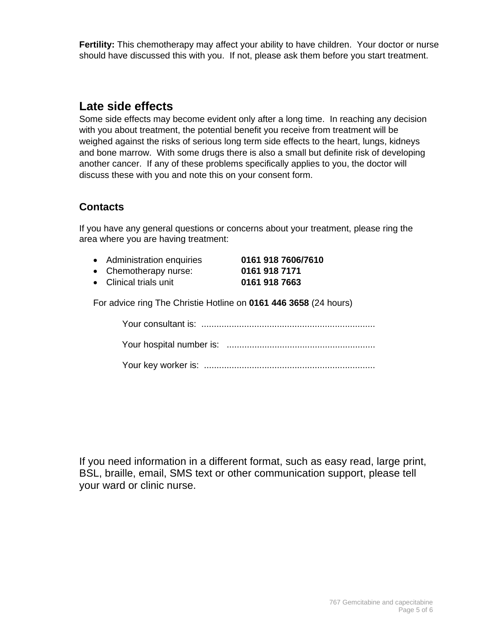**Fertility:** This chemotherapy may affect your ability to have children. Your doctor or nurse should have discussed this with you. If not, please ask them before you start treatment.

## **Late side effects**

Some side effects may become evident only after a long time. In reaching any decision with you about treatment, the potential benefit you receive from treatment will be weighed against the risks of serious long term side effects to the heart, lungs, kidneys and bone marrow. With some drugs there is also a small but definite risk of developing another cancer. If any of these problems specifically applies to you, the doctor will discuss these with you and note this on your consent form.

## **Contacts**

If you have any general questions or concerns about your treatment, please ring the area where you are having treatment:

- Administration enquiries **0161 918 7606/7610** 
	-
- Chemotherapy nurse: **0161 918 7171**
- Clinical trials unit **0161 918 7663**

For advice ring The Christie Hotline on **0161 446 3658** (24 hours)

Your consultant is: .....................................................................

Your key worker is: ....................................................................

If you need information in a different format, such as easy read, large print, BSL, braille, email, SMS text or other communication support, please tell your ward or clinic nurse.